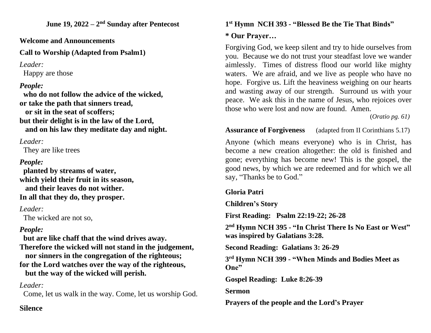**June 19, 2022 – 2 nd Sunday after Pentecost**

**Welcome and Announcements**

**Call to Worship (Adapted from Psalm1)**

*Leader:*

Happy are those

# *People:*

 **who do not follow the advice of the wicked, or take the path that sinners tread, or sit in the seat of scoffers; but their delight is in the law of the Lord, and on his law they meditate day and night.**

*Leader:*

They are like trees

# *People:*

 **planted by streams of water, which yield their fruit in its season, and their leaves do not wither. In all that they do, they prosper.**

*Leader:* 

The wicked are not so,

# *People:*

 **but are like chaff that the wind drives away. Therefore the wicked will not stand in the judgement, nor sinners in the congregation of the righteous; for the Lord watches over the way of the righteous, but the way of the wicked will perish.**

## *Leader:*

Come, let us walk in the way. Come, let us worship God.

### **Silence**

#### **1 st Hymn NCH 393 - "Blessed Be the Tie That Binds"**

### **\* Our Prayer…**

Forgiving God, we keep silent and try to hide ourselves from you. Because we do not trust your steadfast love we wander aimlessly. Times of distress flood our world like mighty waters. We are afraid, and we live as people who have no hope. Forgive us. Lift the heaviness weighing on our hearts and wasting away of our strength. Surround us with your peace. We ask this in the name of Jesus, who rejoices over those who were lost and now are found. Amen.

(*Oratio pg. 61)*

**Assurance of Forgiveness** (adapted from II Corinthians 5.17)

Anyone (which means everyone) who is in Christ, has become a new creation altogether: the old is finished and gone; everything has become new! This is the gospel, the good news, by which we are redeemed and for which we all say, "Thanks be to God."

### **Gloria Patri**

### **Children's Story**

**First Reading: Psalm 22:19-22; 26-28**

**2 nd Hymn NCH 395 - "In Christ There Is No East or West" was inspired by Galatians 3:28.**

**Second Reading: Galatians 3: 26-29**

**3 rd Hymn NCH 399 - "When Minds and Bodies Meet as One"**

**Gospel Reading: Luke 8:26-39**

#### **Sermon**

**Prayers of the people and the Lord's Prayer**